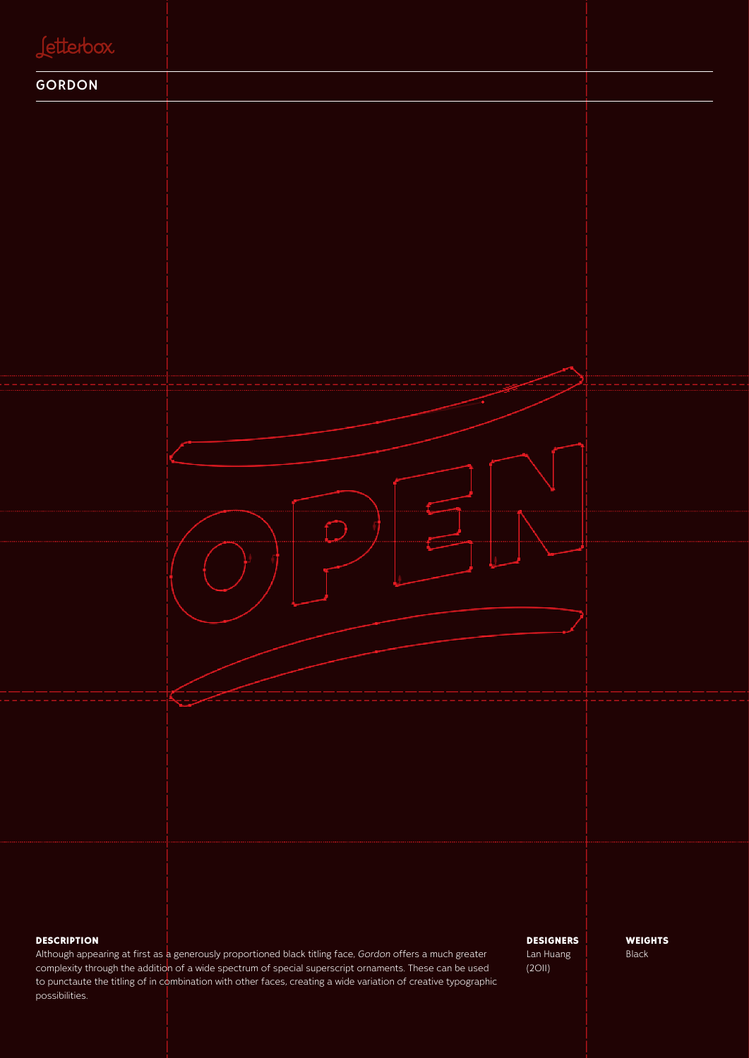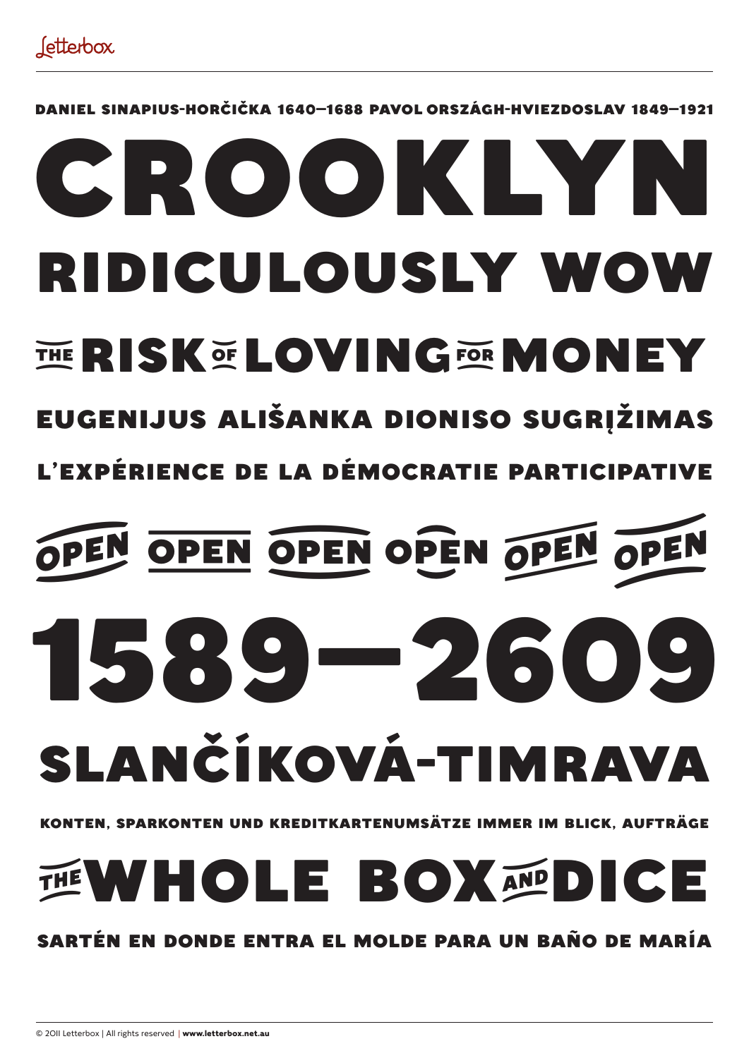Daniel Sinapius-Horčička 1640–1688 Pavol Országh-Hviezdoslav 1849–1921

## ridiculously wow crooklyn THE RISK OF LOVING FOR MONEY

### Eugenijus Ališanka Dioniso sugrįžimas

l'expérience de la démocratie participative

# OPEN OPEN OPEN OPEN OPEN SLANČÍKOVÁ-TIMRAVA 1589–2609

#### Konten, Sparkonten und Kreditkartenumsätze immer im Blick, Aufträge

WHOLE BOXANDICE

#### sartén en donde entra el molde para un baño de María